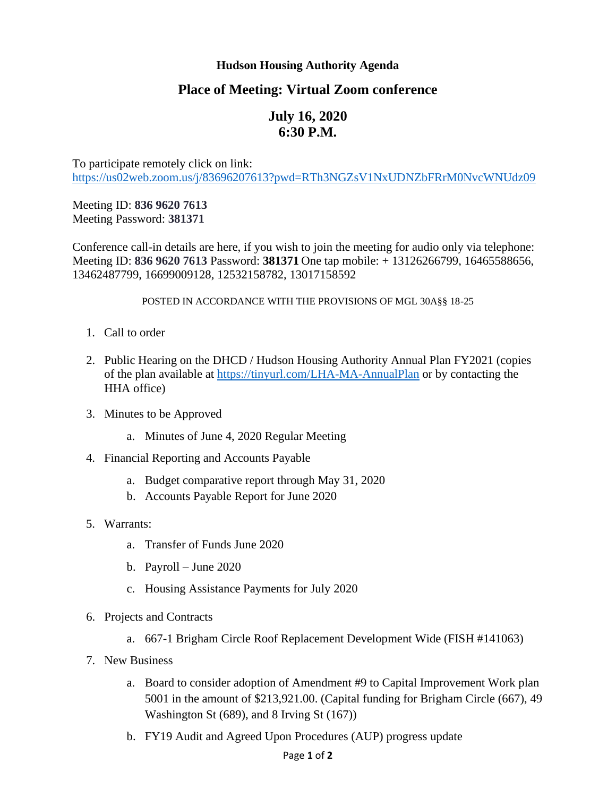## **Hudson Housing Authority Agenda**

## **Place of Meeting: Virtual Zoom conference**

## **July 16, 2020 6:30 P.M.**

To participate remotely click on link: <https://us02web.zoom.us/j/83696207613?pwd=RTh3NGZsV1NxUDNZbFRrM0NvcWNUdz09>

Meeting ID: **836 9620 7613** Meeting Password: **381371**

Conference call-in details are here, if you wish to join the meeting for audio only via telephone: Meeting ID: **836 9620 7613** Password: **381371** One tap mobile: + 13126266799, 16465588656, 13462487799, 16699009128, 12532158782, 13017158592

POSTED IN ACCORDANCE WITH THE PROVISIONS OF MGL 30A§§ 18-25

- 1. Call to order
- 2. Public Hearing on the DHCD / Hudson Housing Authority Annual Plan FY2021 (copies of the plan available at<https://tinyurl.com/LHA-MA-AnnualPlan> or by contacting the HHA office)
- 3. Minutes to be Approved
	- a. Minutes of June 4, 2020 Regular Meeting
- 4. Financial Reporting and Accounts Payable
	- a. Budget comparative report through May 31, 2020
	- b. Accounts Payable Report for June 2020
- 5. Warrants:
	- a. Transfer of Funds June 2020
	- b. Payroll June 2020
	- c. Housing Assistance Payments for July 2020
- 6. Projects and Contracts
	- a. 667-1 Brigham Circle Roof Replacement Development Wide (FISH #141063)
- 7. New Business
	- a. Board to consider adoption of Amendment #9 to Capital Improvement Work plan 5001 in the amount of \$213,921.00. (Capital funding for Brigham Circle (667), 49 Washington St (689), and 8 Irving St (167))
	- b. FY19 Audit and Agreed Upon Procedures (AUP) progress update